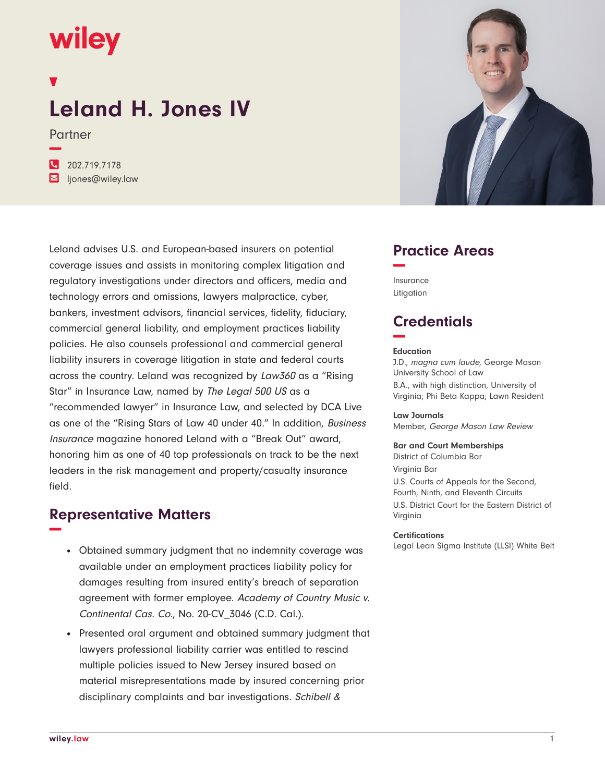## wiley

# **Leland H. Jones IV**

Partner

**−**

**�** 202.719.7178 **�** ljones@wiley.law

Leland advises U.S. and European-based insurers on potential coverage issues and assists in monitoring complex litigation and regulatory investigations under directors and officers, media and technology errors and omissions, lawyers malpractice, cyber, bankers, investment advisors, financial services, fidelity, fiduciary, commercial general liability, and employment practices liability policies. He also counsels professional and commercial general liability insurers in coverage litigation in state and federal courts across the country. Leland was recognized by Law360 as a "Rising Star" in Insurance Law, named by The Legal 500 US as a "recommended lawyer" in Insurance Law, and selected by DCA Live as one of the "Rising Stars of Law 40 under 40." In addition, Business Insurance magazine honored Leland with a "Break Out" award, honoring him as one of 40 top professionals on track to be the next leaders in the risk management and property/casualty insurance field.

## **Representative Matters −**

- Obtained summary judgment that no indemnity coverage was available under an employment practices liability policy for damages resulting from insured entity's breach of separation agreement with former employee. Academy of Country Music v. Continental Cas. Co., No. 20-CV\_3046 (C.D. Cal.).
- Presented oral argument and obtained summary judgment that lawyers professional liability carrier was entitled to rescind multiple policies issued to New Jersey insured based on material misrepresentations made by insured concerning prior disciplinary complaints and bar investigations. Schibell &



## **Practice Areas −**

Insurance Litigation

## **Credentials −**

#### **Education**

J.D., magna cum laude, George Mason University School of Law B.A., with high distinction, University of Virginia; Phi Beta Kappa; Lawn Resident

#### **Law Journals**

Member, George Mason Law Review

#### **Bar and Court Memberships**

District of Columbia Bar Virginia Bar U.S. Courts of Appeals for the Second, Fourth, Ninth, and Eleventh Circuits U.S. District Court for the Eastern District of Virginia

#### **Certifications**

Legal Lean Sigma Institute (LLSI) White Belt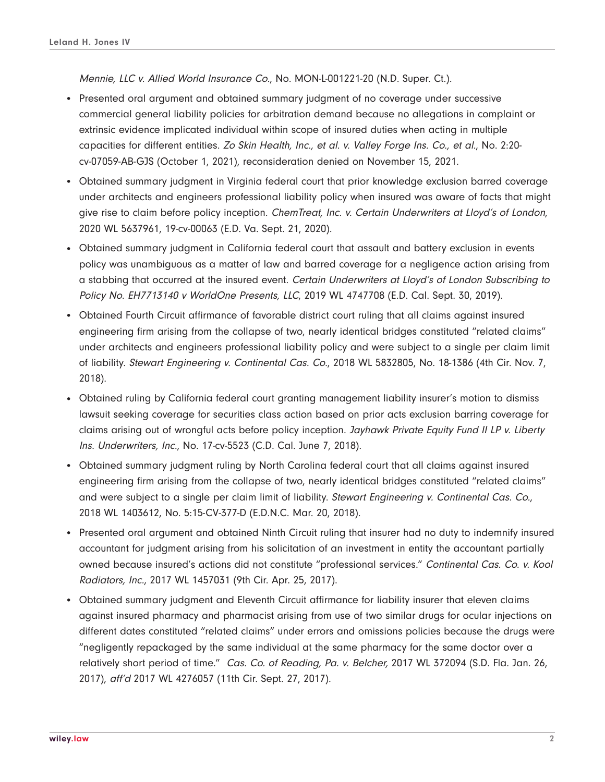Mennie, LLC v. Allied World Insurance Co., No. MON-L-001221-20 (N.D. Super. Ct.).

- Presented oral argument and obtained summary judgment of no coverage under successive commercial general liability policies for arbitration demand because no allegations in complaint or extrinsic evidence implicated individual within scope of insured duties when acting in multiple capacities for different entities. Zo Skin Health, Inc., et al. v. Valley Forge Ins. Co., et al., No. 2:20 cv-07059-AB-GJS (October 1, 2021), reconsideration denied on November 15, 2021.
- Obtained summary judgment in Virginia federal court that prior knowledge exclusion barred coverage under architects and engineers professional liability policy when insured was aware of facts that might give rise to claim before policy inception. ChemTreat, Inc. v. Certain Underwriters at Lloyd's of London, 2020 WL 5637961, 19-cv-00063 (E.D. Va. Sept. 21, 2020).
- Obtained summary judgment in California federal court that assault and battery exclusion in events policy was unambiguous as a matter of law and barred coverage for a negligence action arising from a stabbing that occurred at the insured event. Certain Underwriters at Lloyd's of London Subscribing to Policy No. EH7713140 v WorldOne Presents, LLC, 2019 WL 4747708 (E.D. Cal. Sept. 30, 2019).
- Obtained Fourth Circuit affirmance of favorable district court ruling that all claims against insured engineering firm arising from the collapse of two, nearly identical bridges constituted "related claims" under architects and engineers professional liability policy and were subject to a single per claim limit of liability. Stewart Engineering v. Continental Cas. Co., 2018 WL 5832805, No. 18-1386 (4th Cir. Nov. 7, 2018).
- Obtained ruling by California federal court granting management liability insurer's motion to dismiss lawsuit seeking coverage for securities class action based on prior acts exclusion barring coverage for claims arising out of wrongful acts before policy inception. Jayhawk Private Equity Fund II LP v. Liberty Ins. Underwriters, Inc., No. 17-cv-5523 (C.D. Cal. June 7, 2018).
- Obtained summary judgment ruling by North Carolina federal court that all claims against insured engineering firm arising from the collapse of two, nearly identical bridges constituted "related claims" and were subject to a single per claim limit of liability. Stewart Engineering v. Continental Cas. Co., 2018 WL 1403612, No. 5:15-CV-377-D (E.D.N.C. Mar. 20, 2018).
- Presented oral argument and obtained Ninth Circuit ruling that insurer had no duty to indemnify insured accountant for judgment arising from his solicitation of an investment in entity the accountant partially owned because insured's actions did not constitute "professional services." Continental Cas. Co. v. Kool Radiators, Inc., 2017 WL 1457031 (9th Cir. Apr. 25, 2017).
- Obtained summary judgment and Eleventh Circuit affirmance for liability insurer that eleven claims against insured pharmacy and pharmacist arising from use of two similar drugs for ocular injections on different dates constituted "related claims" under errors and omissions policies because the drugs were "negligently repackaged by the same individual at the same pharmacy for the same doctor over a relatively short period of time." Cas. Co. of Reading, Pa. v. Belcher, 2017 WL 372094 (S.D. Fla. Jan. 26, 2017), aff'd 2017 WL 4276057 (11th Cir. Sept. 27, 2017).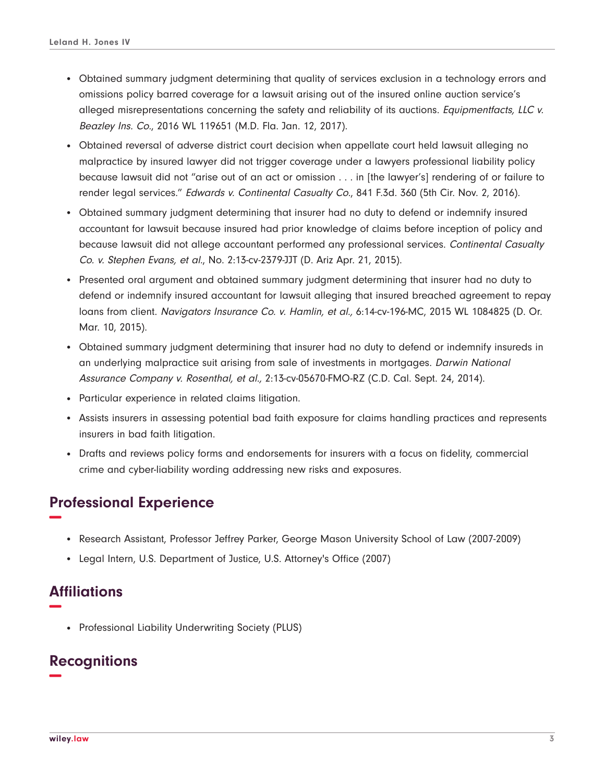- Obtained summary judgment determining that quality of services exclusion in a technology errors and omissions policy barred coverage for a lawsuit arising out of the insured online auction service's alleged misrepresentations concerning the safety and reliability of its auctions. Equipmentfacts, LLC v. Beazley Ins. Co., 2016 WL 119651 (M.D. Fla. Jan. 12, 2017).
- Obtained reversal of adverse district court decision when appellate court held lawsuit alleging no malpractice by insured lawyer did not trigger coverage under a lawyers professional liability policy because lawsuit did not "arise out of an act or omission . . . in [the lawyer's] rendering of or failure to render legal services." Edwards v. Continental Casualty Co., 841 F.3d. 360 (5th Cir. Nov. 2, 2016).
- Obtained summary judgment determining that insurer had no duty to defend or indemnify insured accountant for lawsuit because insured had prior knowledge of claims before inception of policy and because lawsuit did not allege accountant performed any professional services. Continental Casualty Co. v. Stephen Evans, et al., No. 2:13-cv-2379-JJT (D. Ariz Apr. 21, 2015).
- Presented oral argument and obtained summary judgment determining that insurer had no duty to defend or indemnify insured accountant for lawsuit alleging that insured breached agreement to repay loans from client. Navigators Insurance Co. v. Hamlin, et al., 6:14-cv-196-MC, 2015 WL 1084825 (D. Or. Mar. 10, 2015).
- Obtained summary judgment determining that insurer had no duty to defend or indemnify insureds in an underlying malpractice suit arising from sale of investments in mortgages. Darwin National Assurance Company v. Rosenthal, et al., 2:13-cv-05670-FMO-RZ (C.D. Cal. Sept. 24, 2014).
- Particular experience in related claims litigation.
- Assists insurers in assessing potential bad faith exposure for claims handling practices and represents insurers in bad faith litigation.
- Drafts and reviews policy forms and endorsements for insurers with a focus on fidelity, commercial crime and cyber-liability wording addressing new risks and exposures.

## **Professional Experience −**

- Research Assistant, Professor Jeffrey Parker, George Mason University School of Law (2007-2009)
- Legal Intern, U.S. Department of Justice, U.S. Attorney's Office (2007)

## **Affiliations −**

• Professional Liability Underwriting Society (PLUS)

## **Recognitions −**